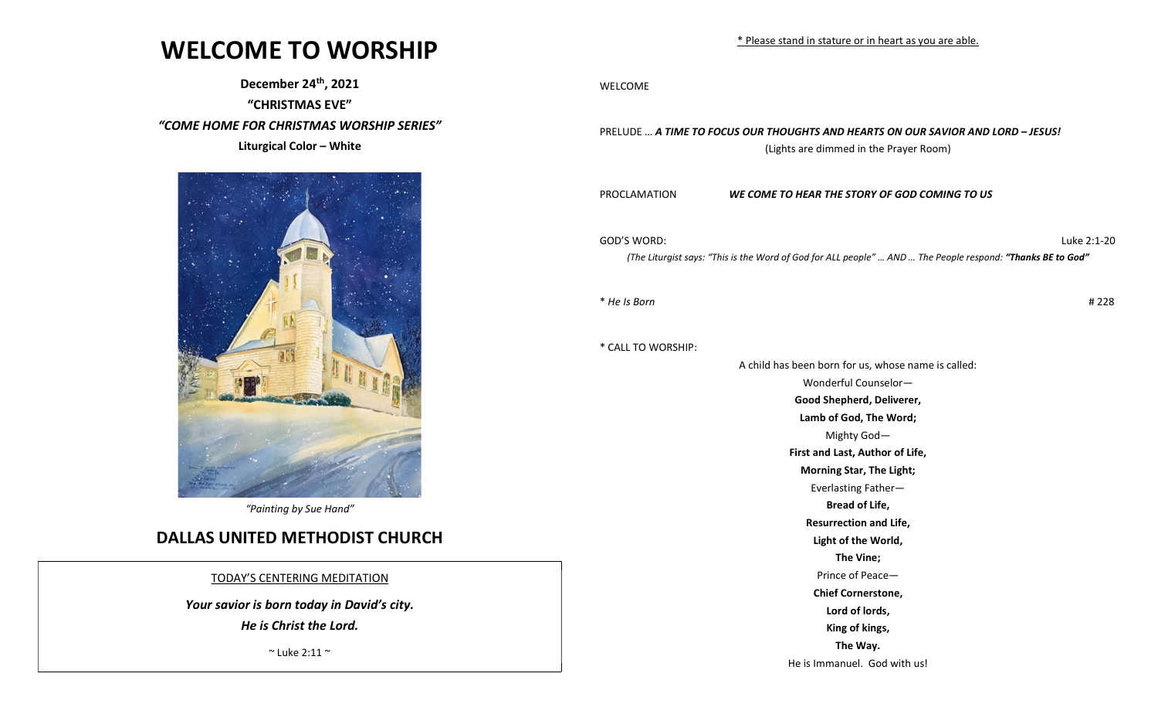## WELCOME TO WORSHIP

December 24th, 2021

"CHRISTMAS EVE"

"COME HOME FOR CHRISTMAS WORSHIP SERIES"

Liturgical Color – White



"Painting by Sue Hand"

### DALLAS UNITED METHODIST CHURCH

TODAY'S CENTERING MEDITATION

Your savior is born today in David's city.

He is Christ the Lord.

 $\degree$  Luke 2:11  $\degree$ 

WELCOME

PRELUDE … A TIME TO FOCUS OUR THOUGHTS AND HEARTS ON OUR SAVIOR AND LORD – JESUS! (Lights are dimmed in the Prayer Room)

PROCLAMATION WE COME TO HEAR THE STORY OF GOD COMING TO US

GOD'S WORD: Luke 2:1-20

(The Liturgist says: "This is the Word of God for ALL people" ... AND ... The People respond: "Thanks BE to God"

 $*$  He Is Born  $#228$ 

\* CALL TO WORSHIP:

A child has been born for us, whose name is called: Wonderful Counselor— Good Shepherd, Deliverer, Lamb of God, The Word; Mighty God— First and Last, Author of Life, Morning Star, The Light; Everlasting Father— Bread of Life, Resurrection and Life, Light of the World, The Vine; Prince of Peace— Chief Cornerstone, Lord of lords, King of kings, The Way. He is Immanuel. God with us!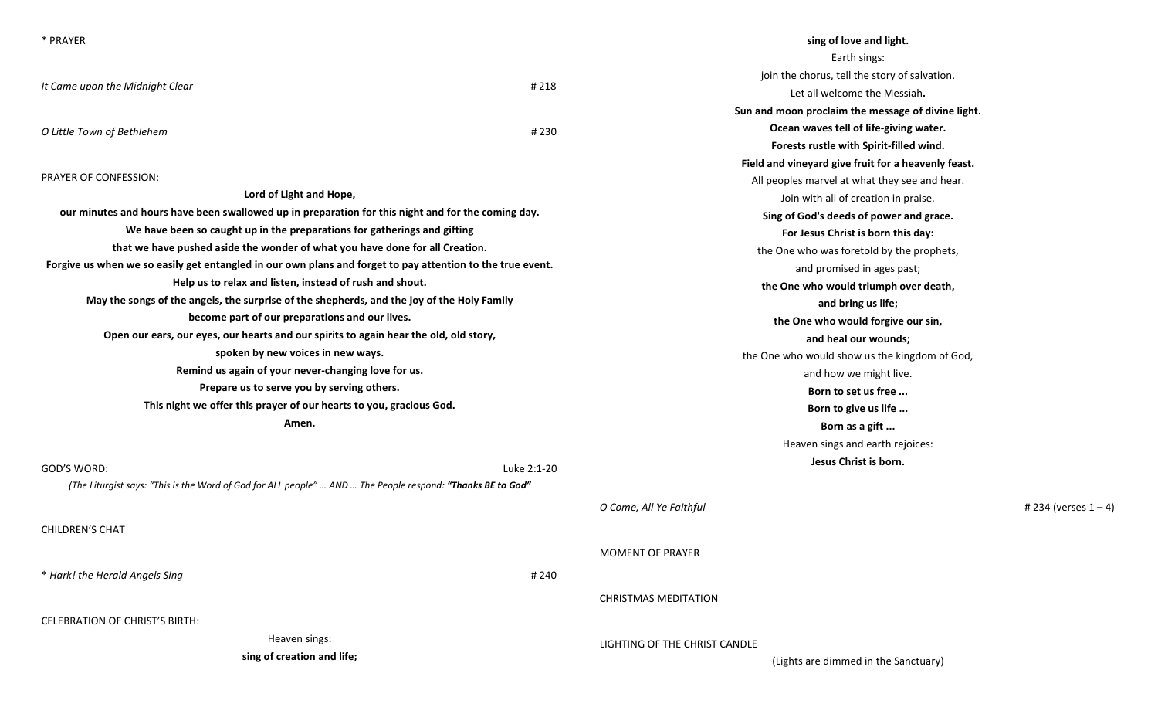| * PRAYER                                                                                                   |             | sing of love and light.                             |
|------------------------------------------------------------------------------------------------------------|-------------|-----------------------------------------------------|
|                                                                                                            |             | Earth sings:                                        |
|                                                                                                            | #218        | join the chorus, tell the story of salvation.       |
| It Came upon the Midnight Clear                                                                            |             | Let all welcome the Messiah.                        |
|                                                                                                            |             | Sun and moon proclaim the message of divine light.  |
| O Little Town of Bethlehem                                                                                 | #230        | Ocean waves tell of life-giving water.              |
|                                                                                                            |             | Forests rustle with Spirit-filled wind.             |
|                                                                                                            |             | Field and vineyard give fruit for a heavenly feast. |
| PRAYER OF CONFESSION:                                                                                      |             | All peoples marvel at what they see and hear.       |
| Lord of Light and Hope,                                                                                    |             | Join with all of creation in praise.                |
| our minutes and hours have been swallowed up in preparation for this night and for the coming day.         |             | Sing of God's deeds of power and grace.             |
| We have been so caught up in the preparations for gatherings and gifting                                   |             | For Jesus Christ is born this day:                  |
| that we have pushed aside the wonder of what you have done for all Creation.                               |             | the One who was foretold by the prophets,           |
| Forgive us when we so easily get entangled in our own plans and forget to pay attention to the true event. |             | and promised in ages past;                          |
| Help us to relax and listen, instead of rush and shout.                                                    |             | the One who would triumph over death,               |
| May the songs of the angels, the surprise of the shepherds, and the joy of the Holy Family                 |             | and bring us life;                                  |
| become part of our preparations and our lives.                                                             |             | the One who would forgive our sin,                  |
| Open our ears, our eyes, our hearts and our spirits to again hear the old, old story,                      |             | and heal our wounds;                                |
| spoken by new voices in new ways.                                                                          |             | the One who would show us the kingdom of God,       |
| Remind us again of your never-changing love for us.                                                        |             | and how we might live.                              |
| Prepare us to serve you by serving others.                                                                 |             | Born to set us free                                 |
| This night we offer this prayer of our hearts to you, gracious God.                                        |             | Born to give us life                                |
| Amen.                                                                                                      |             | Born as a gift                                      |
|                                                                                                            |             | Heaven sings and earth rejoices:                    |
| GOD'S WORD:                                                                                                | Luke 2:1-20 | Jesus Christ is born.                               |
| (The Liturgist says: "This is the Word of God for ALL people"  AND  The People respond: "Thanks BE to God" |             |                                                     |
|                                                                                                            |             |                                                     |
|                                                                                                            |             | O Come, All Ye Faithful<br># 234 (verses $1 - 4$ )  |
| <b>CHILDREN'S CHAT</b>                                                                                     |             |                                                     |
|                                                                                                            |             | <b>MOMENT OF PRAYER</b>                             |
| * Hark! the Herald Angels Sing                                                                             | #240        |                                                     |
|                                                                                                            |             |                                                     |
|                                                                                                            |             | <b>CHRISTMAS MEDITATION</b>                         |
| <b>CELEBRATION OF CHRIST'S BIRTH:</b>                                                                      |             |                                                     |
| Heaven sings:                                                                                              |             | LIGHTING OF THE CHRIST CANDLE                       |
| sing of creation and life;                                                                                 |             | (Lights are dimmed in the Sanctuary)                |
|                                                                                                            |             |                                                     |